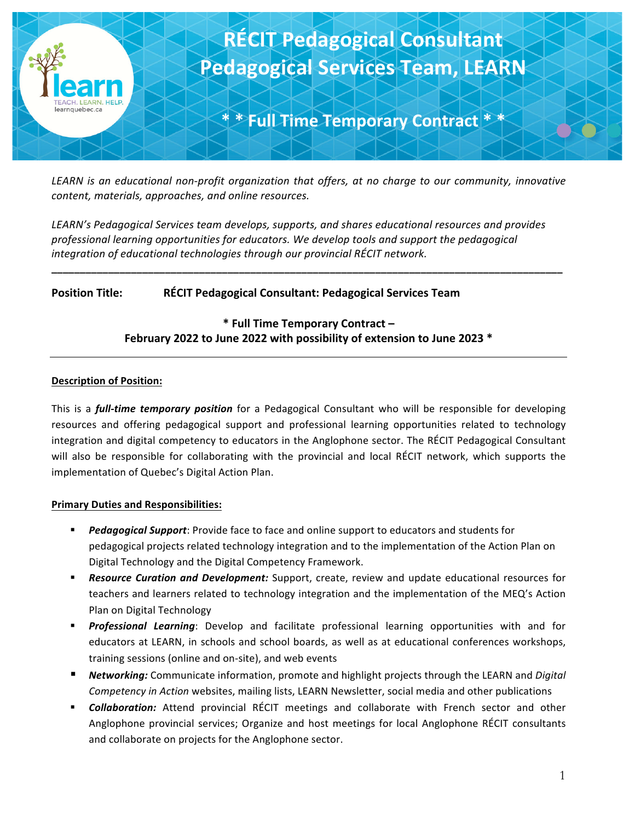

*LEARN* is an educational non-profit organization that offers, at no charge to our community, innovative *content, materials, approaches, and online resources.* 

LEARN's Pedagogical Services team develops, supports, and shares educational resources and provides professional learning opportunities for educators. We develop tools and support the pedagogical integration of educational technologies through our provincial RÉCIT network.

**\_\_\_\_\_\_\_\_\_\_\_\_\_\_\_\_\_\_\_\_\_\_\_\_\_\_\_\_\_\_\_\_\_\_\_\_\_\_\_\_\_\_\_\_\_\_\_\_\_\_\_\_\_\_\_\_\_\_\_\_\_\_\_\_\_\_\_\_\_\_\_\_\_\_\_\_\_\_\_\_\_\_\_\_\_\_\_\_\_\_**

## **Position Title: RÉCIT Pedagogical Consultant: Pedagogical Services Team**

# **\* Full Time Temporary Contract – February** 2022 to June 2022 with possibility of extension to June 2023 \*

#### **Description of Position:**

This is a *full-time temporary position* for a Pedagogical Consultant who will be responsible for developing resources and offering pedagogical support and professional learning opportunities related to technology integration and digital competency to educators in the Anglophone sector. The RÉCIT Pedagogical Consultant will also be responsible for collaborating with the provincial and local RÉCIT network, which supports the implementation of Quebec's Digital Action Plan.

#### **Primary Duties and Responsibilities:**

- **Pedagogical Support:** Provide face to face and online support to educators and students for pedagogical projects related technology integration and to the implementation of the Action Plan on Digital Technology and the Digital Competency Framework.
- **Resource Curation and Development:** Support, create, review and update educational resources for teachers and learners related to technology integration and the implementation of the MEQ's Action Plan on Digital Technology
- **Professional Learning**: Develop and facilitate professional learning opportunities with and for educators at LEARN, in schools and school boards, as well as at educational conferences workshops, training sessions (online and on-site), and web events
- *Networking:* Communicate information, promote and highlight projects through the LEARN and *Digital Competency in Action* websites, mailing lists, LEARN Newsletter, social media and other publications
- **Collaboration:** Attend provincial RÉCIT meetings and collaborate with French sector and other Anglophone provincial services; Organize and host meetings for local Anglophone RÉCIT consultants and collaborate on projects for the Anglophone sector.